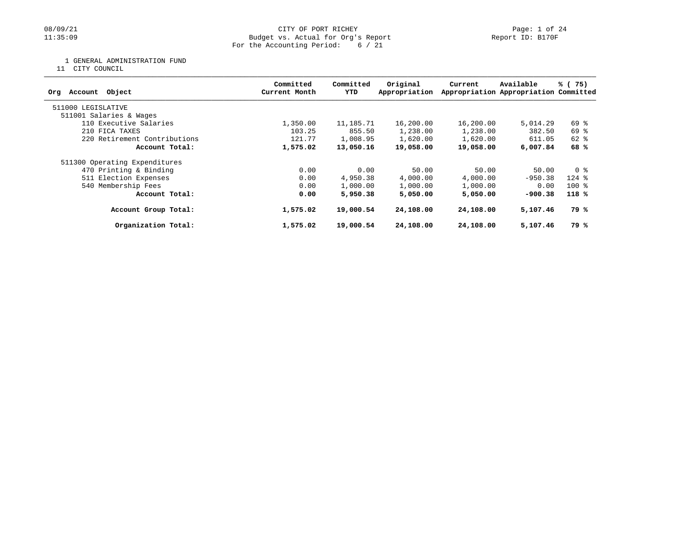## 08/09/21 CITY OF PORT RICHEY Page: 1 of 24<br>
Budget vs. Actual for Org's Report Page: 1 Of 24<br>
Page: 1 of 24 Budget vs. Actual for Org's Report For the Accounting Period: 6 / 21

1 GENERAL ADMINISTRATION FUND

11 CITY COUNCIL

| Object<br>Account<br>Org      | Committed<br>Current Month | Committed<br>YTD | Original<br>Appropriation | Current   | Available<br>Appropriation Appropriation Committed | % (75)      |
|-------------------------------|----------------------------|------------------|---------------------------|-----------|----------------------------------------------------|-------------|
| 511000 LEGISLATIVE            |                            |                  |                           |           |                                                    |             |
| 511001 Salaries & Wages       |                            |                  |                           |           |                                                    |             |
| 110 Executive Salaries        | 1,350.00                   | 11,185.71        | 16,200.00                 | 16,200.00 | 5,014.29                                           | 69 %        |
| 210 FICA TAXES                | 103.25                     | 855.50           | 1,238.00                  | 1,238.00  | 382.50                                             | 69 %        |
| 220 Retirement Contributions  | 121.77                     | 1,008.95         | 1,620.00                  | 1,620.00  | 611.05                                             | 62 %        |
| Account Total:                | 1,575.02                   | 13,050.16        | 19,058.00                 | 19,058.00 | 6,007.84                                           | 68 %        |
| 511300 Operating Expenditures |                            |                  |                           |           |                                                    |             |
| 470 Printing & Binding        | 0.00                       | 0.00             | 50.00                     | 50.00     | 50.00                                              | 0 %         |
| 511 Election Expenses         | 0.00                       | 4,950.38         | 4,000.00                  | 4,000.00  | $-950.38$                                          | $124$ $%$   |
| 540 Membership Fees           | 0.00                       | 1,000.00         | 1,000.00                  | 1,000.00  | 0.00                                               | $100*$      |
| Account Total:                | 0.00                       | 5,950.38         | 5,050,00                  | 5,050,00  | $-900.38$                                          | $118*$      |
| Account Group Total:          | 1,575.02                   | 19,000.54        | 24,108.00                 | 24,108.00 | 5,107.46                                           | 79 %        |
| Organization Total:           | 1,575.02                   | 19,000.54        | 24,108.00                 | 24,108.00 | 5,107.46                                           | <b>79 %</b> |
|                               |                            |                  |                           |           |                                                    |             |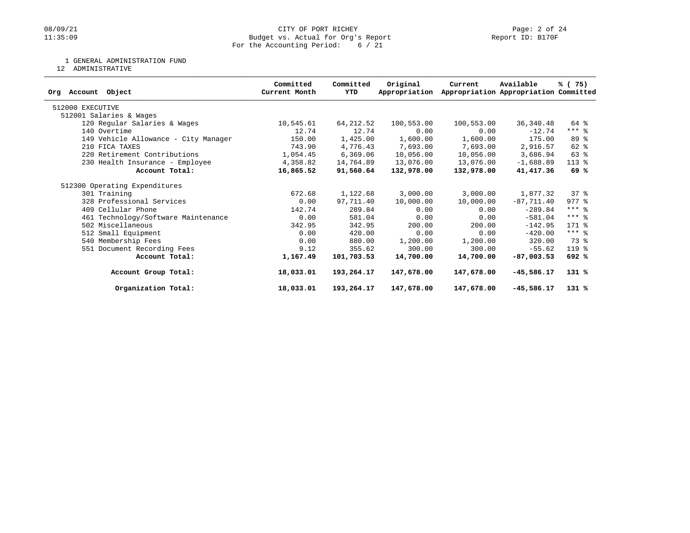## 08/09/21 CITY OF PORT RICHEY Page: 2 of 24<br>
Budget vs. Actual for Org's Report Page: 2 Of 24<br>
Page: 2 of 24 Budget vs. Actual for Org's Report For the Accounting Period: 6 / 21

1 GENERAL ADMINISTRATION FUND

12 ADMINISTRATIVE

| Account Object<br>Orq                | Committed<br>Current Month | Committed<br>YTD | Original<br>Appropriation | Current    | Available<br>Appropriation Appropriation Committed | % (75)    |
|--------------------------------------|----------------------------|------------------|---------------------------|------------|----------------------------------------------------|-----------|
| 512000 EXECUTIVE                     |                            |                  |                           |            |                                                    |           |
| 512001 Salaries & Wages              |                            |                  |                           |            |                                                    |           |
| 120 Regular Salaries & Wages         | 10,545.61                  | 64, 212.52       | 100,553.00                | 100,553.00 | 36,340.48                                          | 64 %      |
| 140 Overtime                         | 12.74                      | 12.74            | 0.00                      | 0.00       | $-12.74$                                           | $***$ $%$ |
| 149 Vehicle Allowance - City Manager | 150.00                     | 1,425.00         | 1,600.00                  | 1,600.00   | 175.00                                             | 89 %      |
| 210 FICA TAXES                       | 743.90                     | 4,776.43         | 7,693.00                  | 7,693.00   | 2,916.57                                           | 62 %      |
| 220 Retirement Contributions         | 1,054.45                   | 6, 369.06        | 10,056.00                 | 10,056.00  | 3,686.94                                           | 63 %      |
| 230 Health Insurance - Employee      | 4,358.82                   | 14,764.89        | 13,076.00                 | 13,076.00  | $-1,688.89$                                        | 113 %     |
| Account Total:                       | 16,865.52                  | 91,560.64        | 132,978.00                | 132,978.00 | 41, 417.36                                         | 69 %      |
| 512300 Operating Expenditures        |                            |                  |                           |            |                                                    |           |
| 301 Training                         | 672.68                     | 1,122.68         | 3,000.00                  | 3,000.00   | 1,877.32                                           | 378       |
| 328 Professional Services            | 0.00                       | 97,711.40        | 10,000.00                 | 10,000.00  | $-87,711.40$                                       | $977$ $%$ |
| 409 Cellular Phone                   | 142.74                     | 289.84           | 0.00                      | 0.00       | $-289.84$                                          | $***$ 2   |
| 461 Technology/Software Maintenance  | 0.00                       | 581.04           | 0.00                      | 0.00       | $-581.04$                                          | $***$ 8   |
| 502 Miscellaneous                    | 342.95                     | 342.95           | 200.00                    | 200.00     | $-142.95$                                          | 171 %     |
| 512 Small Equipment                  | 0.00                       | 420.00           | 0.00                      | 0.00       | $-420.00$                                          | $***$ 8   |
| 540 Membership Fees                  | 0.00                       | 880.00           | 1,200.00                  | 1,200.00   | 320.00                                             | 73 %      |
| 551 Document Recording Fees          | 9.12                       | 355.62           | 300.00                    | 300.00     | $-55.62$                                           | 119 %     |
| Account Total:                       | 1,167.49                   | 101,703.53       | 14,700.00                 | 14,700.00  | $-87,003.53$                                       | 692 %     |
| Account Group Total:                 | 18,033.01                  | 193,264.17       | 147,678.00                | 147,678.00 | $-45,586.17$                                       | $131*$    |
| Organization Total:                  | 18,033.01                  | 193,264.17       | 147,678.00                | 147,678.00 | $-45,586.17$                                       | $131*$    |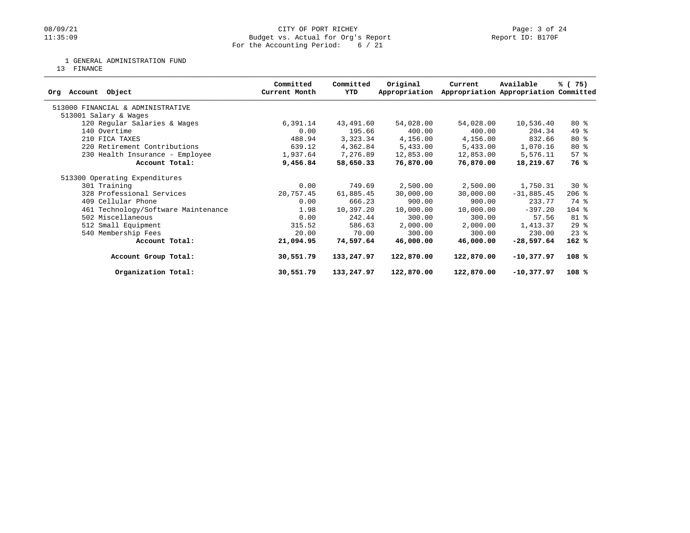## 08/09/21 CITY OF PORT RICHEY Page: 3 of 24<br>
Budget vs. Actual for Org's Report Page: 1 Page: 3 of 24<br>
Page: 3 of 24 Budget vs. Actual for Org's Report For the Accounting Period: 6 / 21

1 GENERAL ADMINISTRATION FUND

13 FINANCE

| Account Object<br>Orq               | Committed<br>Current Month | Committed<br>YTD | Original<br>Appropriation | Current    | Available<br>Appropriation Appropriation Committed | % (75)   |
|-------------------------------------|----------------------------|------------------|---------------------------|------------|----------------------------------------------------|----------|
| 513000 FINANCIAL & ADMINISTRATIVE   |                            |                  |                           |            |                                                    |          |
| 513001 Salary & Wages               |                            |                  |                           |            |                                                    |          |
| 120 Regular Salaries & Wages        | 6,391.14                   | 43,491.60        | 54,028.00                 | 54,028.00  | 10,536.40                                          | $80*$    |
| 140 Overtime                        | 0.00                       | 195.66           | 400.00                    | 400.00     | 204.34                                             | 49 %     |
| 210 FICA TAXES                      | 488.94                     | 3,323.34         | 4,156.00                  | 4,156.00   | 832.66                                             | $80*$    |
| 220 Retirement Contributions        | 639.12                     | 4,362.84         | 5,433.00                  | 5,433.00   | 1,070.16                                           | 80 %     |
| 230 Health Insurance - Employee     | 1,937.64                   | 7,276.89         | 12,853.00                 | 12,853.00  | 5,576.11                                           | 57%      |
| Account Total:                      | 9,456.84                   | 58,650.33        | 76,870.00                 | 76,870.00  | 18,219.67                                          | 76 %     |
| 513300 Operating Expenditures       |                            |                  |                           |            |                                                    |          |
| 301 Training                        | 0.00                       | 749.69           | 2,500.00                  | 2,500.00   | 1,750.31                                           | $30*$    |
| 328 Professional Services           | 20,757.45                  | 61,885.45        | 30,000.00                 | 30,000.00  | $-31,885.45$                                       | $206$ %  |
| 409 Cellular Phone                  | 0.00                       | 666.23           | 900.00                    | 900.00     | 233.77                                             | 74 %     |
| 461 Technology/Software Maintenance | 1.98                       | 10,397.20        | 10,000.00                 | 10,000.00  | $-397.20$                                          | $104$ %  |
| 502 Miscellaneous                   | 0.00                       | 242.44           | 300.00                    | 300.00     | 57.56                                              | 81 %     |
| 512 Small Equipment                 | 315.52                     | 586.63           | 2,000.00                  | 2,000.00   | 1,413.37                                           | 29%      |
| 540 Membership Fees                 | 20.00                      | 70.00            | 300.00                    | 300.00     | 230.00                                             | $23$ $%$ |
| Account Total:                      | 21,094.95                  | 74,597.64        | 46,000.00                 | 46,000.00  | $-28,597.64$                                       | $162*$   |
| Account Group Total:                | 30,551.79                  | 133,247.97       | 122,870.00                | 122,870.00 | $-10,377.97$                                       | 108%     |
| Organization Total:                 | 30,551.79                  | 133,247.97       | 122,870.00                | 122,870.00 | $-10,377.97$                                       | 108%     |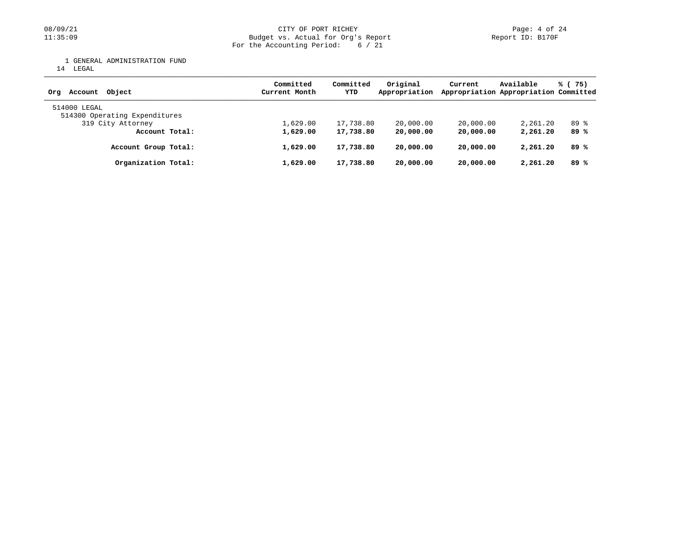1 GENERAL ADMINISTRATION FUND

14 LEGAL

| Object<br>Account<br>Ora                      | Committed<br>Current Month | Committed<br>YTD | Original<br>Appropriation | Current   | Available<br>Appropriation Appropriation Committed | % (75) |
|-----------------------------------------------|----------------------------|------------------|---------------------------|-----------|----------------------------------------------------|--------|
| 514000 LEGAL<br>514300 Operating Expenditures |                            |                  |                           |           |                                                    |        |
|                                               |                            |                  |                           |           |                                                    |        |
| 319 City Attorney                             | 1,629.00                   | 17,738.80        | 20,000.00                 | 20,000.00 | 2,261.20                                           | 89 %   |
| Account Total:                                | 1,629.00                   | 17,738.80        | 20,000.00                 | 20,000.00 | 2,261.20                                           | 89 %   |
| Account Group Total:                          | 1,629.00                   | 17,738.80        | 20,000.00                 | 20,000.00 | 2,261.20                                           | 89 %   |
| Organization Total:                           | 1,629.00                   | 17,738.80        | 20,000.00                 | 20,000.00 | 2,261.20                                           | 89%    |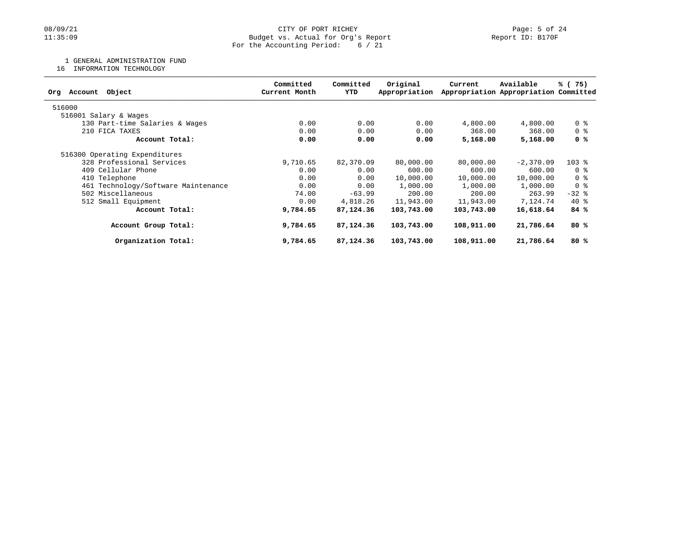## 08/09/21 CITY OF PORT RICHEY Page: 5 of 24<br>11:35:09 Budget vs. Actual for Org's Report (Report ID: B170F Budget vs. Actual for Org's Report For the Accounting Period: 6 / 21

1 GENERAL ADMINISTRATION FUND

16 INFORMATION TECHNOLOGY

| Object<br>Account<br>Org            | Committed<br>Current Month | Committed<br>YTD | Original<br>Appropriation | Current    | Available<br>Appropriation Appropriation Committed | % (75)         |
|-------------------------------------|----------------------------|------------------|---------------------------|------------|----------------------------------------------------|----------------|
| 516000                              |                            |                  |                           |            |                                                    |                |
| 516001 Salary & Wages               |                            |                  |                           |            |                                                    |                |
| 130 Part-time Salaries & Wages      | 0.00                       | 0.00             | 0.00                      | 4,800.00   | 4,800.00                                           | 0 %            |
| 210 FICA TAXES                      | 0.00                       | 0.00             | 0.00                      | 368.00     | 368.00                                             | 0 %            |
| Account Total:                      | 0.00                       | 0.00             | 0.00                      | 5,168.00   | 5,168.00                                           | 0 %            |
| 516300 Operating Expenditures       |                            |                  |                           |            |                                                    |                |
| 328 Professional Services           | 9,710.65                   | 82,370.09        | 80,000.00                 | 80,000.00  | $-2,370.09$                                        | $103$ %        |
| 409 Cellular Phone                  | 0.00                       | 0.00             | 600.00                    | 600.00     | 600.00                                             | 0 <sup>8</sup> |
| 410 Telephone                       | 0.00                       | 0.00             | 10,000.00                 | 10,000.00  | 10,000.00                                          | 0 <sup>8</sup> |
| 461 Technology/Software Maintenance | 0.00                       | 0.00             | 1,000.00                  | 1,000.00   | 1,000.00                                           | 0 <sup>8</sup> |
| 502 Miscellaneous                   | 74.00                      | $-63.99$         | 200.00                    | 200.00     | 263.99                                             | $-32$ %        |
| 512 Small Equipment                 | 0.00                       | 4,818.26         | 11,943.00                 | 11,943.00  | 7,124.74                                           | $40*$          |
| Account Total:                      | 9,784.65                   | 87,124.36        | 103,743.00                | 103,743.00 | 16,618.64                                          | 84%            |
| Account Group Total:                | 9,784.65                   | 87,124.36        | 103,743.00                | 108,911.00 | 21,786.64                                          | 80%            |
| Organization Total:                 | 9,784.65                   | 87, 124, 36      | 103,743.00                | 108,911.00 | 21,786.64                                          | 80%            |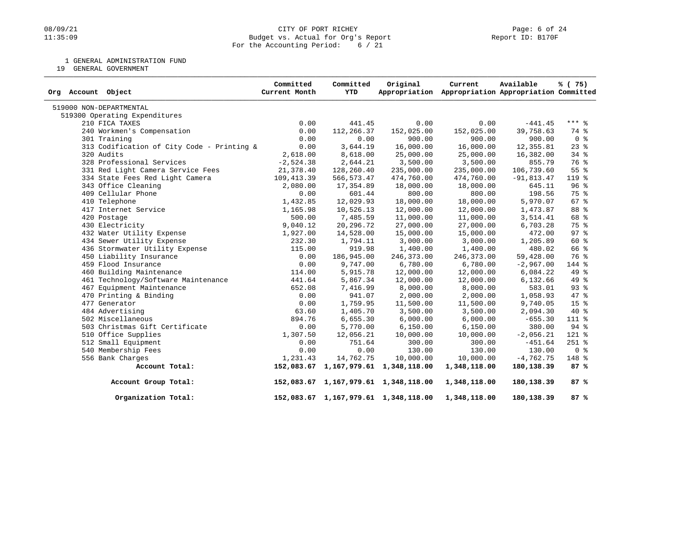## 08/09/21 CITY OF PORT RICHEY Page: 6 of 24<br>11:35:09 Budget vs. Actual for Org's Report (Report ID: B170F Budget vs. Actual for Org's Report For the Accounting Period: 6 / 21

1 GENERAL ADMINISTRATION FUND

19 GENERAL GOVERNMENT

| Org Account Object                         | Committed<br>Current Month | Committed<br><b>YTD</b> | Original                             | Current<br>Appropriation Appropriation Appropriation Committed | Available    | % (75)          |
|--------------------------------------------|----------------------------|-------------------------|--------------------------------------|----------------------------------------------------------------|--------------|-----------------|
| 519000 NON-DEPARTMENTAL                    |                            |                         |                                      |                                                                |              |                 |
| 519300 Operating Expenditures              |                            |                         |                                      |                                                                |              |                 |
| 210 FICA TAXES                             | 0.00                       | 441.45                  | 0.00                                 | 0.00                                                           | $-441.45$    | $***$ $-8$      |
| 240 Workmen's Compensation                 | 0.00                       | 112,266.37              | 152,025.00                           | 152,025.00                                                     | 39,758.63    | 74 %            |
| 301 Training                               | 0.00                       | 0.00                    | 900.00                               | 900.00                                                         | 900.00       | 0 <sup>8</sup>  |
| 313 Codification of City Code - Printing & | 0.00                       | 3,644.19                | 16,000.00                            | 16,000.00                                                      | 12,355.81    | $23$ $%$        |
| 320 Audits                                 | 2,618.00                   | 8,618.00                | 25,000.00                            | 25,000.00                                                      | 16,382.00    | $34$ $%$        |
| 328 Professional Services                  | $-2,524.38$                | 2,644.21                | 3,500.00                             | 3,500.00                                                       | 855.79       | 76 %            |
| 331 Red Light Camera Service Fees          | 21,378.40                  | 128,260.40              | 235,000.00                           | 235,000.00                                                     | 106,739.60   | 55 %            |
| 334 State Fees Red Light Camera            | 109,413.39                 | 566, 573.47             | 474,760.00                           | 474,760.00                                                     | $-91,813.47$ | 119 %           |
| 343 Office Cleaning                        | 2,080.00                   | 17,354.89               | 18,000.00                            | 18,000.00                                                      | 645.11       | 96 <sup>8</sup> |
| 409 Cellular Phone                         | 0.00                       | 601.44                  | 800.00                               | 800.00                                                         | 198.56       | 75 %            |
| 410 Telephone                              | 1,432.85                   | 12,029.93               | 18,000.00                            | 18,000.00                                                      | 5,970.07     | 67 <sup>°</sup> |
| 417 Internet Service                       | 1,165.98                   | 10,526.13               | 12,000.00                            | 12,000.00                                                      | 1,473.87     | 88 %            |
| 420 Postage                                | 500.00                     | 7,485.59                | 11,000.00                            | 11,000.00                                                      | 3,514.41     | 68 %            |
| 430 Electricity                            | 9,040.12                   | 20,296.72               | 27,000.00                            | 27,000.00                                                      | 6,703.28     | 75 %            |
| 432 Water Utility Expense                  | 1,927.00                   | 14,528.00               | 15,000.00                            | 15,000.00                                                      | 472.00       | 97%             |
| 434 Sewer Utility Expense                  | 232.30                     | 1,794.11                | 3,000.00                             | 3,000.00                                                       | 1,205.89     | 60 %            |
| 436 Stormwater Utility Expense             | 115.00                     | 919.98                  | 1,400.00                             | 1,400.00                                                       | 480.02       | 66 %            |
| 450 Liability Insurance                    | 0.00                       | 186,945.00              | 246,373.00                           | 246,373.00                                                     | 59,428.00    | 76 %            |
| 459 Flood Insurance                        | 0.00                       | 9,747.00                | 6,780.00                             | 6,780.00                                                       | $-2,967.00$  | 144 %           |
| 460 Building Maintenance                   | 114.00                     | 5,915.78                | 12,000.00                            | 12,000.00                                                      | 6,084.22     | 49 %            |
| 461 Technology/Software Maintenance        | 441.64                     | 5,867.34                | 12,000.00                            | 12,000.00                                                      | 6,132.66     | 49 %            |
| 467 Equipment Maintenance                  | 652.08                     | 7,416.99                | 8,000.00                             | 8,000.00                                                       | 583.01       | $93$ $%$        |
| 470 Printing & Binding                     | 0.00                       | 941.07                  | 2,000.00                             | 2,000.00                                                       | 1,058.93     | 47 %            |
| 477 Generator                              | 0.00                       | 1,759.95                | 11,500.00                            | 11,500.00                                                      | 9,740.05     | 15 <sup>8</sup> |
| 484 Advertising                            | 63.60                      | 1,405.70                | 3,500.00                             | 3,500.00                                                       | 2,094.30     | 40 %            |
| 502 Miscellaneous                          | 894.76                     | 6,655.30                | 6,000.00                             | 6,000.00                                                       | $-655.30$    | 111 %           |
| 503 Christmas Gift Certificate             | 0.00                       | 5,770.00                | 6,150.00                             | 6,150.00                                                       | 380.00       | 94 %            |
| 510 Office Supplies                        | 1,307.50                   | 12,056.21               | 10,000.00                            | 10,000.00                                                      | $-2,056.21$  | 121 %           |
| 512 Small Equipment                        | 0.00                       | 751.64                  | 300.00                               | 300.00                                                         | $-451.64$    | $251$ %         |
| 540 Membership Fees                        | 0.00                       | 0.00                    | 130.00                               | 130.00                                                         | 130.00       | 0 <sup>8</sup>  |
| 556 Bank Charges                           | 1,231.43                   | 14,762.75               | 10,000.00                            | 10,000.00                                                      | $-4,762.75$  | 148 %           |
| Account Total:                             |                            |                         | 152,083.67 1,167,979.61 1,348,118.00 | 1,348,118.00                                                   | 180,138.39   | 87%             |
| Account Group Total:                       |                            |                         | 152,083.67 1,167,979.61 1,348,118.00 | 1,348,118.00                                                   | 180,138.39   | 87%             |
| Organization Total:                        |                            |                         | 152,083.67 1,167,979.61 1,348,118.00 | 1,348,118.00                                                   | 180,138.39   | 87%             |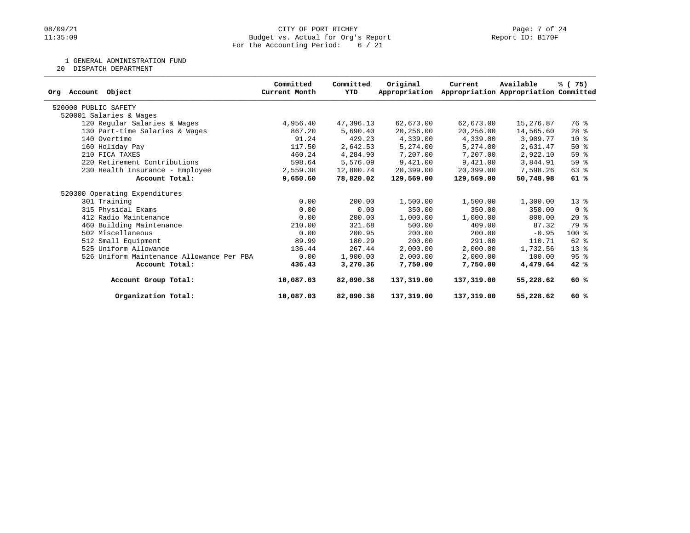## 08/09/21 CITY OF PORT RICHEY Page: 7 of 24<br>
Budget vs. Actual for Org's Report Page: 7 Of 24<br>
Page: 7 of 24 Budget vs. Actual for Org's Report For the Accounting Period: 6 / 21

1 GENERAL ADMINISTRATION FUND

20 DISPATCH DEPARTMENT

| Org Account<br>Object                     | Committed<br>Current Month | Committed<br>YTD | Original<br>Appropriation | Current    | Available<br>Appropriation Appropriation Committed | % (75)                  |
|-------------------------------------------|----------------------------|------------------|---------------------------|------------|----------------------------------------------------|-------------------------|
| 520000 PUBLIC SAFETY                      |                            |                  |                           |            |                                                    |                         |
| 520001 Salaries & Wages                   |                            |                  |                           |            |                                                    |                         |
| 120 Regular Salaries & Wages              | 4,956.40                   | 47,396.13        | 62,673.00                 | 62,673.00  | 15,276.87                                          | 76 %                    |
| 130 Part-time Salaries & Wages            | 867.20                     | 5,690.40         | 20,256.00                 | 20,256.00  | 14,565.60                                          | $28$ %                  |
| 140 Overtime                              | 91.24                      | 429.23           | 4,339.00                  | 4,339.00   | 3,909.77                                           | $10*$                   |
| 160 Holiday Pay                           | 117.50                     | 2,642.53         | 5,274.00                  | 5,274.00   | 2,631.47                                           | $50*$                   |
| 210 FICA TAXES                            | 460.24                     | 4,284.90         | 7,207.00                  | 7,207.00   | 2,922.10                                           | 59 %                    |
| 220 Retirement Contributions              | 598.64                     | 5,576.09         | 9,421.00                  | 9,421.00   | 3,844.91                                           | 59%                     |
| 230 Health Insurance - Employee           | 2,559.38                   | 12,800.74        | 20,399.00                 | 20,399.00  | 7,598.26                                           | 63 %                    |
| Account Total:                            | 9,650.60                   | 78,820.02        | 129,569.00                | 129,569.00 | 50,748.98                                          | 61%                     |
| 520300 Operating Expenditures             |                            |                  |                           |            |                                                    |                         |
| 301 Training                              | 0.00                       | 200.00           | 1,500.00                  | 1,500.00   | 1,300.00                                           | $13*$                   |
| 315 Physical Exams                        | 0.00                       | 0.00             | 350.00                    | 350.00     | 350.00                                             | $0 \text{ }$ $\text{*}$ |
| 412 Radio Maintenance                     | 0.00                       | 200.00           | 1,000.00                  | 1,000.00   | 800.00                                             | $20*$                   |
| 460 Building Maintenance                  | 210.00                     | 321.68           | 500.00                    | 409.00     | 87.32                                              | 79 %                    |
| 502 Miscellaneous                         | 0.00                       | 200.95           | 200.00                    | 200.00     | $-0.95$                                            | $100*$                  |
| 512 Small Equipment                       | 89.99                      | 180.29           | 200.00                    | 291.00     | 110.71                                             | $62$ $%$                |
| 525 Uniform Allowance                     | 136.44                     | 267.44           | 2,000.00                  | 2,000.00   | 1,732.56                                           | $13*$                   |
| 526 Uniform Maintenance Allowance Per PBA | 0.00                       | 1,900.00         | 2,000.00                  | 2,000.00   | 100.00                                             | 95 <sup>8</sup>         |
| Account Total:                            | 436.43                     | 3,270.36         | 7,750.00                  | 7,750.00   | 4,479.64                                           | 42%                     |
| Account Group Total:                      | 10,087.03                  | 82,090.38        | 137,319.00                | 137,319.00 | 55,228.62                                          | 60%                     |
| Organization Total:                       | 10,087.03                  | 82,090.38        | 137,319.00                | 137,319.00 | 55,228.62                                          | 60%                     |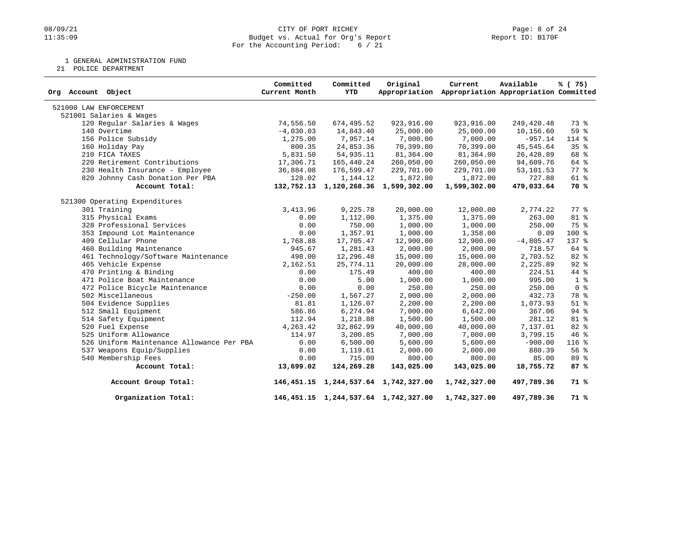## 08/09/21 CITY OF PORT RICHEY PAGE 24<br>11:35:09 Budget vs. Actual for Org's Report (1999) Report ID: B170F Budget vs. Actual for Org's Report For the Accounting Period: 6 / 21

1 GENERAL ADMINISTRATION FUND

21 POLICE DEPARTMENT

| Org Account Object                        | Committed<br>Current Month | Committed<br><b>YTD</b> | Original                                  | Current<br>Appropriation Appropriation Appropriation Committed | Available   | % (75)         |
|-------------------------------------------|----------------------------|-------------------------|-------------------------------------------|----------------------------------------------------------------|-------------|----------------|
| 521000 LAW ENFORCEMENT                    |                            |                         |                                           |                                                                |             |                |
| 521001 Salaries & Wages                   |                            |                         |                                           |                                                                |             |                |
| 120 Regular Salaries & Wages              | 74,556.50                  | 674,495.52              | 923, 916.00                               | 923,916.00                                                     | 249,420.48  | 73 %           |
| 140 Overtime                              | $-4,030.03$                | 14,843.40               | 25,000.00                                 | 25,000.00                                                      | 10,156.60   | 59 %           |
| 156 Police Subsidy                        | 1,275.00                   | 7,957.14                | 7,000.00                                  | 7,000.00                                                       | $-957.14$   | $114$ %        |
| 160 Holiday Pay                           | 800.35                     | 24,853.36               | 70,399.00                                 | 70,399.00                                                      | 45,545.64   | 35%            |
| 210 FICA TAXES                            | 5,831.50                   | 54,935.11               | 81,364.00                                 | 81,364.00                                                      | 26,428.89   | 68 %           |
| 220 Retirement Contributions              | 17,306.71                  | 165,440.24              | 260,050.00                                | 260,050.00                                                     | 94,609.76   | 64 %           |
| 230 Health Insurance - Employee           | 36,884.08                  | 176,599.47              | 229,701.00                                | 229,701.00                                                     | 53, 101.53  | $77*$          |
| 820 Johnny Cash Donation Per PBA          | 128.02                     | 1,144.12                | 1,872.00                                  | 1,872.00                                                       | 727.88      | $61$ $%$       |
| Account Total:                            |                            |                         | 132,752.13 1,120,268.36 1,599,302.00      | 1,599,302.00                                                   | 479,033.64  | 70 %           |
| 521300 Operating Expenditures             |                            |                         |                                           |                                                                |             |                |
| 301 Training                              | 3,413.96                   | 9,225.78                | 20,000.00                                 | 12,000.00                                                      | 2,774.22    | 77.8           |
| 315 Physical Exams                        | 0.00                       | 1,112.00                | 1,375.00                                  | 1,375.00                                                       | 263.00      | 81 %           |
| 328 Professional Services                 | 0.00                       | 750.00                  | 1,000.00                                  | 1,000.00                                                       | 250.00      | 75 %           |
| 353 Impound Lot Maintenance               | 0.00                       | 1,357.91                | 1,000.00                                  | 1,358.00                                                       | 0.09        | 100 %          |
| 409 Cellular Phone                        | 1,768.88                   | 17,705.47               | 12,900.00                                 | 12,900.00                                                      | $-4,805.47$ | 137 %          |
| 460 Building Maintenance                  | 945.67                     | 1,281.43                | 2,000.00                                  | 2,000.00                                                       | 718.57      | 64 %           |
| 461 Technology/Software Maintenance       | 498.00                     | 12,296.48               | 15,000.00                                 | 15,000.00                                                      | 2,703.52    | $82*$          |
| 465 Vehicle Expense                       | 2,162.51                   | 25,774.11               | 20,000.00                                 | 28,000.00                                                      | 2,225.89    | $92$ $%$       |
| 470 Printing & Binding                    | 0.00                       | 175.49                  | 400.00                                    | 400.00                                                         | 224.51      | 44 %           |
| 471 Police Boat Maintenance               | 0.00                       | 5.00                    | 1,000.00                                  | 1,000.00                                                       | 995.00      | 1 <sup>°</sup> |
| 472 Police Bicycle Maintenance            | 0.00                       | 0.00                    | 250.00                                    | 250.00                                                         | 250.00      | 0 <sup>8</sup> |
| 502 Miscellaneous                         | $-250.00$                  | 1,567.27                | 2,000.00                                  | 2,000.00                                                       | 432.73      | 78 %           |
| 504 Evidence Supplies                     | 81.81                      | 1,126.07                | 2,200.00                                  | 2,200.00                                                       | 1,073.93    | $51$ $%$       |
| 512 Small Equipment                       | 586.86                     | 6,274.94                | 7,000.00                                  | 6,642.00                                                       | 367.06      | $94$ $%$       |
| 514 Safety Equipment                      | 112.94                     | 1,218.88                | 1,500.00                                  | 1,500.00                                                       | 281.12      | $81 - 26$      |
| 520 Fuel Expense                          | 4,263.42                   | 32,862.99               | 40,000.00                                 | 40,000.00                                                      | 7,137.01    | $82*$          |
| 525 Uniform Allowance                     | 114.97                     | 3,200.85                | 7,000.00                                  | 7,000.00                                                       | 3,799.15    | 46%            |
| 526 Uniform Maintenance Allowance Per PBA | 0.00                       | 6,500.00                | 5,600.00                                  | 5,600.00                                                       | $-900.00$   | 116 %          |
| 537 Weapons Equip/Supplies                | 0.00                       | 1,119.61                | 2,000.00                                  | 2,000.00                                                       | 880.39      | 56%            |
| 540 Membership Fees                       | 0.00                       | 715.00                  | 800.00                                    | 800.00                                                         | 85.00       | 89 %           |
| Account Total:                            | 13,699.02                  | 124,269.28              | 143,025.00                                | 143,025.00                                                     | 18,755.72   | 87%            |
| Account Group Total:                      |                            |                         | 146, 451.15 1, 244, 537.64 1, 742, 327.00 | 1,742,327.00                                                   | 497,789.36  | 71 %           |
| Organization Total:                       |                            |                         | 146, 451.15 1, 244, 537.64 1, 742, 327.00 | 1,742,327.00                                                   | 497,789.36  | 71%            |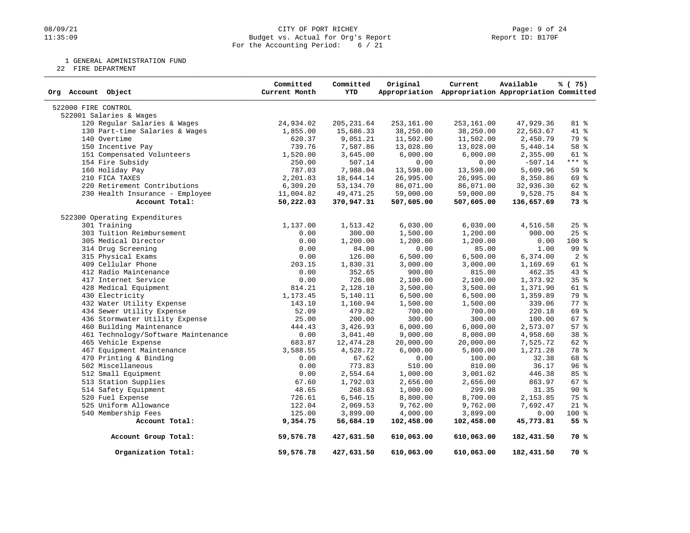## 08/09/21 CITY OF PORT RICHEY Page: 9 of 24<br>
Dudget vs. Actual for Org's Report Communication (Page: 9 of 24<br>
Page: 9 of 24 Budget vs. Actual for Org's Report For the Accounting Period: 6 / 21

1 GENERAL ADMINISTRATION FUND

22 FIRE DEPARTMENT

| Org Account Object                  | Committed<br>Current Month | Committed<br><b>YTD</b> | Original   | Current<br>Appropriation Appropriation Appropriation Committed | Available  | % (75)             |
|-------------------------------------|----------------------------|-------------------------|------------|----------------------------------------------------------------|------------|--------------------|
| 522000 FIRE CONTROL                 |                            |                         |            |                                                                |            |                    |
| 522001 Salaries & Wages             |                            |                         |            |                                                                |            |                    |
| 120 Regular Salaries & Wages        | 24,934.02                  | 205, 231.64             | 253,161.00 | 253,161.00                                                     | 47,929.36  | 81 %               |
| 130 Part-time Salaries & Wages      | 1,855.00                   | 15,686.33               | 38,250.00  | 38,250.00                                                      | 22,563.67  | 41 %               |
| 140 Overtime                        | 620.37                     | 9,051.21                | 11,502.00  | 11,502.00                                                      | 2,450.79   | 79 %               |
| 150 Incentive Pay                   | 739.76                     | 7,587.86                | 13,028.00  | 13,028.00                                                      | 5,440.14   | 58 %               |
| 151 Compensated Volunteers          | 1,520.00                   | 3,645.00                | 6,000.00   | 6,000.00                                                       | 2,355.00   | 61 %               |
| 154 Fire Subsidy                    | 250.00                     | 507.14                  | 0.00       | 0.00                                                           | $-507.14$  | $***$ $%$          |
| 160 Holiday Pay                     | 787.03                     | 7,988.04                | 13,598.00  | 13,598.00                                                      | 5,609.96   | 59 %               |
| 210 FICA TAXES                      | 2,201.83                   | 18,644.14               | 26,995.00  | 26,995.00                                                      | 8,350.86   | 69 %               |
| 220 Retirement Contributions        | 6,309.20                   | 53, 134. 70             | 86,071.00  | 86,071.00                                                      | 32,936.30  | 62 %               |
| 230 Health Insurance - Employee     | 11,004.82                  | 49, 471.25              | 59,000.00  | 59,000.00                                                      | 9,528.75   | 84 %               |
| Account Total:                      | 50,222.03                  | 370,947.31              | 507,605.00 | 507,605.00                                                     | 136,657.69 | 73 %               |
| 522300 Operating Expenditures       |                            |                         |            |                                                                |            |                    |
| 301 Training                        | 1,137.00                   | 1,513.42                | 6,030.00   | 6,030.00                                                       | 4,516.58   | 25%                |
| 303 Tuition Reimbursement           | 0.00                       | 300.00                  | 1,500.00   | 1,200.00                                                       | 900.00     | 25%                |
| 305 Medical Director                | 0.00                       | 1,200.00                | 1,200.00   | 1,200.00                                                       | 0.00       | $100*$             |
| 314 Drug Screening                  | 0.00                       | 84.00                   | 0.00       | 85.00                                                          | 1.00       | 99 %               |
| 315 Physical Exams                  | 0.00                       | 126.00                  | 6,500.00   | 6,500.00                                                       | 6,374.00   | 2 <sup>°</sup>     |
| 409 Cellular Phone                  | 203.15                     | 1,830.31                | 3,000.00   | 3,000.00                                                       | 1,169.69   | 61 %               |
| 412 Radio Maintenance               | 0.00                       | 352.65                  | 900.00     | 815.00                                                         | 462.35     | 43%                |
| 417 Internet Service                | 0.00                       | 726.08                  | 2,100.00   | 2,100.00                                                       | 1,373.92   | 35 <sup>8</sup>    |
| 428 Medical Equipment               | 814.21                     | 2,128.10                | 3,500.00   | 3,500.00                                                       | 1,371.90   | 61 %               |
| 430 Electricity                     | 1,173.45                   | 5,140.11                | 6,500.00   | 6,500.00                                                       | 1,359.89   | 79 %               |
| 432 Water Utility Expense           | 143.10                     | 1,160.94                | 1,500.00   | 1,500.00                                                       | 339.06     | $77$ $\frac{6}{9}$ |
| 434 Sewer Utility Expense           | 52.09                      | 479.82                  | 700.00     | 700.00                                                         | 220.18     | 69 %               |
| 436 Stormwater Utility Expense      | 25.00                      | 200.00                  | 300.00     | 300.00                                                         | 100.00     | 67 %               |
| 460 Building Maintenance            | 444.43                     | 3,426.93                | 6,000.00   | 6,000.00                                                       | 2,573.07   | 57%                |
| 461 Technology/Software Maintenance | 0.00                       | 3,041.40                | 9,000.00   | 8,000.00                                                       | 4,958.60   | 38 <sup>8</sup>    |
| 465 Vehicle Expense                 | 683.87                     | 12, 474.28              | 20,000.00  | 20,000.00                                                      | 7,525.72   | 62 %               |
| 467 Equipment Maintenance           | 3,588.55                   | 4,528.72                | 6,000.00   | 5,800.00                                                       | 1,271.28   | 78 %               |
| 470 Printing & Binding              | 0.00                       | 67.62                   | 0.00       | 100.00                                                         | 32.38      | 68 %               |
| 502 Miscellaneous                   | 0.00                       | 773.83                  | 510.00     | 810.00                                                         | 36.17      | 96%                |
| 512 Small Equipment                 | 0.00                       | 2,554.64                | 1,000.00   | 3,001.02                                                       | 446.38     | 85 %               |
| 513 Station Supplies                | 67.60                      | 1,792.03                | 2,656.00   | 2,656.00                                                       | 863.97     | $67$ $%$           |
| 514 Safety Equipment                | 48.65                      | 268.63                  | 1,000.00   | 299.98                                                         | 31.35      | 90%                |
| 520 Fuel Expense                    | 726.61                     | 6,546.15                | 8,800.00   | 8,700.00                                                       | 2,153.85   | 75 %               |
| 525 Uniform Allowance               | 122.04                     | 2,069.53                | 9,762.00   | 9,762.00                                                       | 7,692.47   | $21$ %             |
| 540 Membership Fees                 | 125.00                     | 3,899.00                | 4,000.00   | 3,899.00                                                       | 0.00       | 100 %              |
| Account Total:                      | 9,354.75                   | 56,684.19               | 102,458.00 | 102,458.00                                                     | 45,773.81  | 55 %               |
| Account Group Total:                | 59,576.78                  | 427,631.50              | 610,063.00 | 610,063.00                                                     | 182,431.50 | 70 %               |
| Organization Total:                 | 59,576.78                  | 427,631.50              | 610,063.00 | 610,063.00                                                     | 182,431.50 | 70 %               |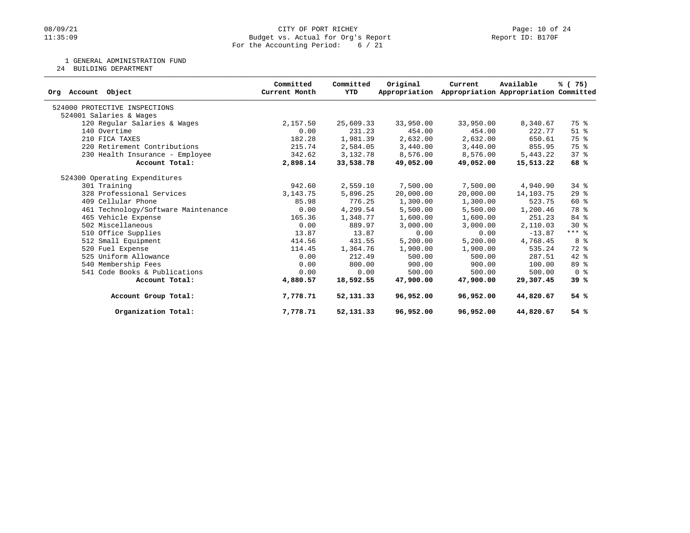## 08/09/21 CITY OF PORT RICHEY Page: 10 of 24<br>
Budget vs. Actual for Org's Report Port (Page: 10 of 24<br>
Page: 10 of 24 Budget vs. Actual for Org's Report For the Accounting Period: 6 / 21

1 GENERAL ADMINISTRATION FUND

24 BUILDING DEPARTMENT

| Org Account Object                  | Committed<br>Current Month | Committed<br><b>YTD</b> | Original<br>Appropriation | Current   | Available<br>Appropriation Appropriation Committed | % (75)                  |
|-------------------------------------|----------------------------|-------------------------|---------------------------|-----------|----------------------------------------------------|-------------------------|
| 524000 PROTECTIVE INSPECTIONS       |                            |                         |                           |           |                                                    |                         |
| 524001 Salaries & Wages             |                            |                         |                           |           |                                                    |                         |
| 120 Regular Salaries & Wages        | 2,157.50                   | 25,609.33               | 33,950.00                 | 33,950.00 | 8,340.67                                           | 75 %                    |
| 140 Overtime                        | 0.00                       | 231.23                  | 454.00                    | 454.00    | 222.77                                             | $51$ %                  |
| 210 FICA TAXES                      | 182.28                     | 1,981.39                | 2,632.00                  | 2,632.00  | 650.61                                             | 75 %                    |
| 220 Retirement Contributions        | 215.74                     | 2,584.05                | 3,440.00                  | 3,440.00  | 855.95                                             | 75 %                    |
| 230 Health Insurance - Employee     | 342.62                     | 3,132.78                | 8,576.00                  | 8,576.00  | 5,443.22                                           | 378                     |
| Account Total:                      | 2,898.14                   | 33,538.78               | 49,052.00                 | 49,052.00 | 15,513.22                                          | 68%                     |
| 524300 Operating Expenditures       |                            |                         |                           |           |                                                    |                         |
| 301 Training                        | 942.60                     | 2,559.10                | 7,500.00                  | 7,500.00  | 4,940.90                                           | $34$ $%$                |
| 328 Professional Services           | 3, 143. 75                 | 5,896.25                | 20,000.00                 | 20,000.00 | 14,103.75                                          | 29%                     |
| 409 Cellular Phone                  | 85.98                      | 776.25                  | 1,300.00                  | 1,300.00  | 523.75                                             | $60*$                   |
| 461 Technology/Software Maintenance | 0.00                       | 4,299.54                | 5,500.00                  | 5,500.00  | 1,200.46                                           | 78 %                    |
| 465 Vehicle Expense                 | 165.36                     | 1,348.77                | 1,600.00                  | 1,600.00  | 251.23                                             | 84 %                    |
| 502 Miscellaneous                   | 0.00                       | 889.97                  | 3,000.00                  | 3,000.00  | 2,110.03                                           | $30*$                   |
| 510 Office Supplies                 | 13.87                      | 13.87                   | 0.00                      | 0.00      | $-13.87$                                           | $***$ $%$               |
| 512 Small Equipment                 | 414.56                     | 431.55                  | 5,200.00                  | 5,200.00  | 4,768.45                                           | 8 %                     |
| 520 Fuel Expense                    | 114.45                     | 1,364.76                | 1,900.00                  | 1,900.00  | 535.24                                             | 72 %                    |
| 525 Uniform Allowance               | 0.00                       | 212.49                  | 500.00                    | 500.00    | 287.51                                             | $42*$                   |
| 540 Membership Fees                 | 0.00                       | 800.00                  | 900.00                    | 900.00    | 100.00                                             | 89 %                    |
| 541 Code Books & Publications       | 0.00                       | 0.00                    | 500.00                    | 500.00    | 500.00                                             | $0 \text{ }$ $\text{*}$ |
| Account Total:                      | 4,880.57                   | 18,592.55               | 47,900.00                 | 47,900.00 | 29,307.45                                          | 39%                     |
| Account Group Total:                | 7,778.71                   | 52, 131.33              | 96,952.00                 | 96,952.00 | 44,820.67                                          | 54%                     |
| Organization Total:                 | 7,778.71                   | 52, 131.33              | 96,952.00                 | 96,952.00 | 44,820.67                                          | 54%                     |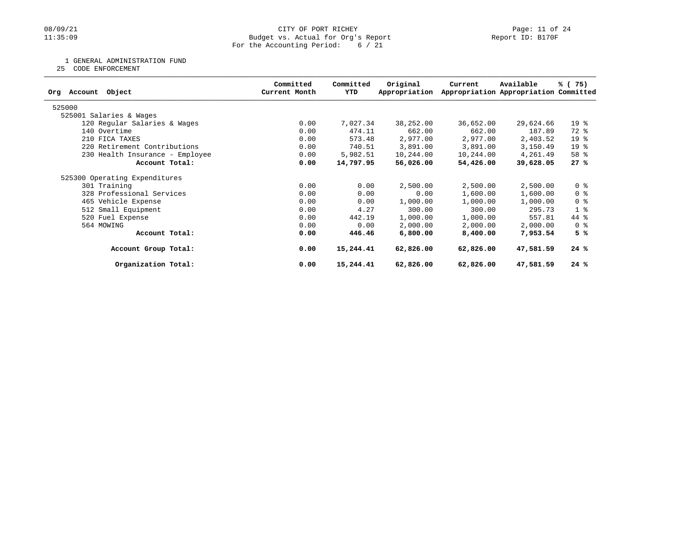## 08/09/21 CITY OF PORT RICHEY Page: 11 of 24<br>
Budget vs. Actual for Org's Report Page: 11 Of 24<br>
Page: 11 of 24 Budget vs. Actual for Org's Report For the Accounting Period: 6 / 21

1 GENERAL ADMINISTRATION FUND

25 CODE ENFORCEMENT

| Object<br>Org Account           | Committed<br>Current Month | Committed<br>YTD | Original<br>Appropriation | Current   | Available<br>Appropriation Appropriation Committed | % (75)          |
|---------------------------------|----------------------------|------------------|---------------------------|-----------|----------------------------------------------------|-----------------|
| 525000                          |                            |                  |                           |           |                                                    |                 |
| 525001 Salaries & Wages         |                            |                  |                           |           |                                                    |                 |
| 120 Regular Salaries & Wages    | 0.00                       | 7,027.34         | 38,252.00                 | 36,652.00 | 29,624.66                                          | 19 <sup>°</sup> |
| 140 Overtime                    | 0.00                       | 474.11           | 662.00                    | 662.00    | 187.89                                             | 72 %            |
| 210 FICA TAXES                  | 0.00                       | 573.48           | 2,977.00                  | 2,977.00  | 2,403.52                                           | 19 <sup>°</sup> |
| 220 Retirement Contributions    | 0.00                       | 740.51           | 3,891.00                  | 3,891.00  | 3,150.49                                           | 19 <sup>°</sup> |
| 230 Health Insurance - Employee | 0.00                       | 5,982.51         | 10,244.00                 | 10,244.00 | 4,261.49                                           | 58 %            |
| Account Total:                  | 0.00                       | 14,797.95        | 56,026.00                 | 54,426.00 | 39,628.05                                          | 27%             |
| 525300 Operating Expenditures   |                            |                  |                           |           |                                                    |                 |
| 301 Training                    | 0.00                       | 0.00             | 2,500.00                  | 2,500.00  | 2,500.00                                           | 0 <sup>8</sup>  |
| 328 Professional Services       | 0.00                       | 0.00             | 0.00                      | 1,600.00  | 1,600.00                                           | 0 <sup>8</sup>  |
| 465 Vehicle Expense             | 0.00                       | 0.00             | 1,000.00                  | 1,000.00  | 1,000.00                                           | 0 %             |
| 512 Small Equipment             | 0.00                       | 4.27             | 300.00                    | 300.00    | 295.73                                             | 1 <sub>8</sub>  |
| 520 Fuel Expense                | 0.00                       | 442.19           | 1,000.00                  | 1,000.00  | 557.81                                             | 44 %            |
| 564 MOWING                      | 0.00                       | 0.00             | 2,000.00                  | 2,000.00  | 2,000.00                                           | 0 %             |
| Account Total:                  | 0.00                       | 446.46           | 6,800.00                  | 8,400.00  | 7,953.54                                           | 5 %             |
| Account Group Total:            | 0.00                       | 15,244.41        | 62,826.00                 | 62,826.00 | 47,581.59                                          | 24%             |
| Organization Total:             | 0.00                       | 15,244.41        | 62,826.00                 | 62,826.00 | 47,581.59                                          | 24%             |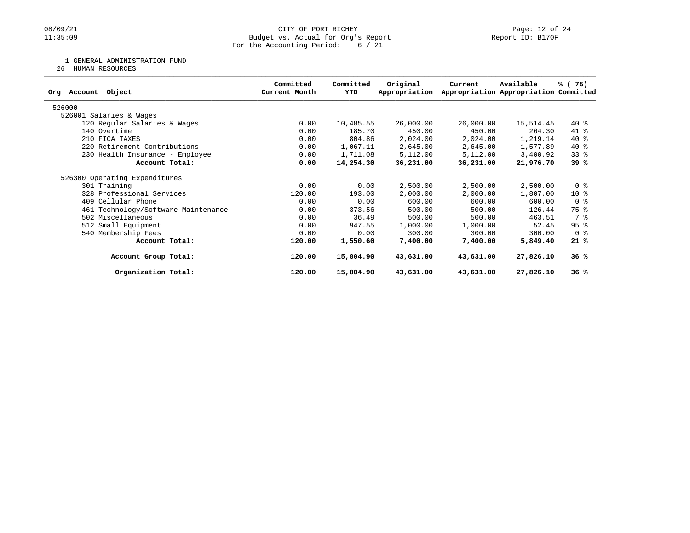## 08/09/21 CITY OF PORT RICHEY Page: 12 of 24<br>
Budget vs. Actual for Org's Report Page: 12 Of 24<br>
Page: 12 of 24 Budget vs. Actual for Org's Report For the Accounting Period: 6 / 21

1 GENERAL ADMINISTRATION FUND

26 HUMAN RESOURCES

|                                     | Committed     | Committed | Original      | Current   | Available                             | % (75)         |
|-------------------------------------|---------------|-----------|---------------|-----------|---------------------------------------|----------------|
| Object<br>Account<br>Orq            | Current Month | YTD       | Appropriation |           | Appropriation Appropriation Committed |                |
| 526000                              |               |           |               |           |                                       |                |
| 526001 Salaries & Wages             |               |           |               |           |                                       |                |
| 120 Regular Salaries & Wages        | 0.00          | 10,485.55 | 26,000.00     | 26,000.00 | 15,514.45                             | $40*$          |
| 140 Overtime                        | 0.00          | 185.70    | 450.00        | 450.00    | 264.30                                | $41*$          |
| 210 FICA TAXES                      | 0.00          | 804.86    | 2,024.00      | 2,024.00  | 1,219.14                              | $40*$          |
| 220 Retirement Contributions        | 0.00          | 1,067.11  | 2,645.00      | 2,645.00  | 1,577.89                              | $40*$          |
| 230 Health Insurance - Employee     | 0.00          | 1,711.08  | 5,112.00      | 5,112.00  | 3,400.92                              | $33$ $%$       |
| Account Total:                      | 0.00          | 14,254.30 | 36,231.00     | 36,231.00 | 21,976.70                             | 39 %           |
| 526300 Operating Expenditures       |               |           |               |           |                                       |                |
| 301 Training                        | 0.00          | 0.00      | 2,500.00      | 2,500.00  | 2,500.00                              | 0 <sub>8</sub> |
| 328 Professional Services           | 120.00        | 193.00    | 2,000.00      | 2,000.00  | 1,807.00                              | $10*$          |
| 409 Cellular Phone                  | 0.00          | 0.00      | 600.00        | 600.00    | 600.00                                | 0 %            |
| 461 Technology/Software Maintenance | 0.00          | 373.56    | 500.00        | 500.00    | 126.44                                | 75 %           |
| 502 Miscellaneous                   | 0.00          | 36.49     | 500.00        | 500.00    | 463.51                                | 7 %            |
| 512 Small Equipment                 | 0.00          | 947.55    | 1,000.00      | 1,000.00  | 52.45                                 | 95%            |
| 540 Membership Fees                 | 0.00          | 0.00      | 300.00        | 300.00    | 300.00                                | 0 <sub>8</sub> |
| Account Total:                      | 120.00        | 1,550.60  | 7,400.00      | 7,400.00  | 5,849.40                              | 21%            |
| Account Group Total:                | 120.00        | 15,804.90 | 43,631.00     | 43,631.00 | 27,826.10                             | 36%            |
| Organization Total:                 | 120.00        | 15,804.90 | 43,631.00     | 43,631.00 | 27,826.10                             | 36%            |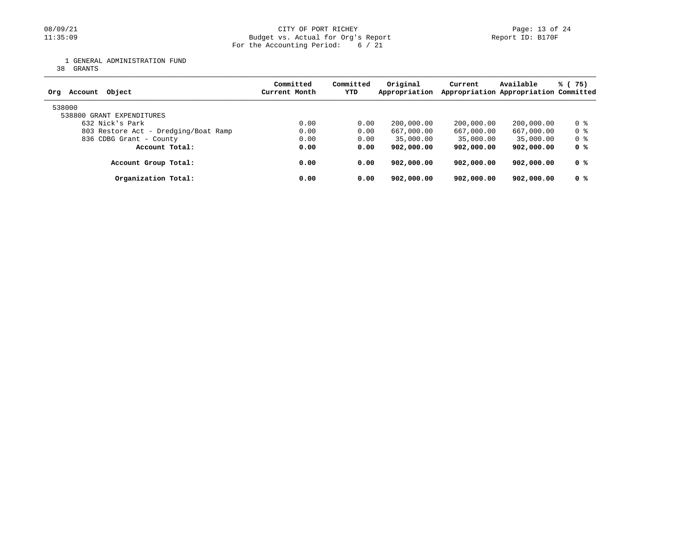## 08/09/21 CITY OF PORT RICHEY Page: 13 of 24<br>Budget vs. Actual for Org's Report Page: 13 of 24<br>Report ID: B170F Budget vs. Actual for Org's Report For the Accounting Period: 6 / 21

1 GENERAL ADMINISTRATION FUND

38 GRANTS

| Object<br>Account<br>Ora             | Committed<br>Current Month | Committed<br>YTD | Original<br>Appropriation | Current    | Available<br>Appropriation Appropriation Committed | % (75) |
|--------------------------------------|----------------------------|------------------|---------------------------|------------|----------------------------------------------------|--------|
| 538000<br>538800 GRANT EXPENDITURES  |                            |                  |                           |            |                                                    |        |
| 632 Nick's Park                      | 0.00                       | 0.00             | 200,000.00                | 200,000.00 | 200,000.00                                         | 0 %    |
| 803 Restore Act - Dredging/Boat Ramp | 0.00                       | 0.00             | 667,000.00                | 667,000.00 | 667,000.00                                         | 0 %    |
| 836 CDBG Grant - County              | 0.00                       | 0.00             | 35,000.00                 | 35,000.00  | 35,000.00                                          | 0 %    |
| Account Total:                       | 0.00                       | 0.00             | 902,000,00                | 902,000.00 | 902,000.00                                         | 0 %    |
| Account Group Total:                 | 0.00                       | 0.00             | 902,000.00                | 902,000.00 | 902,000.00                                         | 0 %    |
| Organization Total:                  | 0.00                       | 0.00             | 902,000,00                | 902,000.00 | 902,000.00                                         | 0 %    |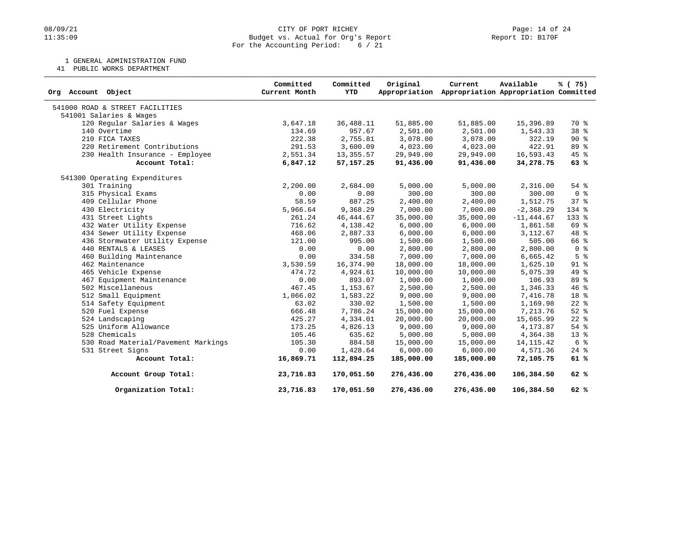## 08/09/21 CITY OF PORT RICHEY Page: 14 of 24<br>
Budget vs. Actual for Org's Report Page: 14 Of 24<br>
Page: 14 of 24 Budget vs. Actual for Org's Report For the Accounting Period: 6 / 21

1 GENERAL ADMINISTRATION FUND

41 PUBLIC WORKS DEPARTMENT

| Object<br>Org Account               | Committed<br>Current Month | Committed<br><b>YTD</b> | Original<br>Appropriation | Current    | Available<br>Appropriation Appropriation Committed | % (75)          |
|-------------------------------------|----------------------------|-------------------------|---------------------------|------------|----------------------------------------------------|-----------------|
| 541000 ROAD & STREET FACILITIES     |                            |                         |                           |            |                                                    |                 |
| 541001 Salaries & Wages             |                            |                         |                           |            |                                                    |                 |
| 120 Regular Salaries & Wages        | 3,647.18                   | 36,488.11               | 51,885.00                 | 51,885.00  | 15,396.89                                          | 70 %            |
| 140 Overtime                        | 134.69                     | 957.67                  | 2,501.00                  | 2,501.00   | 1,543.33                                           | 38 <sup>8</sup> |
| 210 FICA TAXES                      | 222.38                     | 2,755.81                | 3,078.00                  | 3,078.00   | 322.19                                             | 90%             |
| 220 Retirement Contributions        | 291.53                     | 3,600.09                | 4,023.00                  | 4,023.00   | 422.91                                             | 89 %            |
| 230 Health Insurance - Employee     | 2,551.34                   | 13, 355.57              | 29,949.00                 | 29,949.00  | 16,593.43                                          | 45 %            |
| Account Total:                      | 6,847.12                   | 57, 157. 25             | 91,436.00                 | 91,436.00  | 34,278.75                                          | 63%             |
| 541300 Operating Expenditures       |                            |                         |                           |            |                                                    |                 |
| 301 Training                        | 2,200.00                   | 2,684.00                | 5,000.00                  | 5,000.00   | 2,316.00                                           | $54$ %          |
| 315 Physical Exams                  | 0.00                       | 0.00                    | 300.00                    | 300.00     | 300.00                                             | 0 <sup>8</sup>  |
| 409 Cellular Phone                  | 58.59                      | 887.25                  | 2,400.00                  | 2,400.00   | 1,512.75                                           | 37 <sup>8</sup> |
| 430 Electricity                     | 5,966.64                   | 9,368.29                | 7,000.00                  | 7,000.00   | $-2, 368.29$                                       | 134 %           |
| 431 Street Lights                   | 261.24                     | 46, 444.67              | 35,000.00                 | 35,000.00  | $-11, 444.67$                                      | 133 %           |
| 432 Water Utility Expense           | 716.62                     | 4,138.42                | 6,000.00                  | 6,000.00   | 1,861.58                                           | 69 %            |
| 434 Sewer Utility Expense           | 468.06                     | 2,887.33                | 6,000.00                  | 6,000.00   | 3, 112.67                                          | 48 %            |
| 436 Stormwater Utility Expense      | 121.00                     | 995.00                  | 1,500.00                  | 1,500.00   | 505.00                                             | 66 %            |
| 440 RENTALS & LEASES                | 0.00                       | 0.00                    | 2,800.00                  | 2,800.00   | 2,800.00                                           | 0 <sup>8</sup>  |
| 460 Building Maintenance            | 0.00                       | 334.58                  | 7,000.00                  | 7,000.00   | 6,665.42                                           | 5 <sup>8</sup>  |
| 462 Maintenance                     | 3,530.59                   | 16,374.90               | 18,000.00                 | 18,000.00  | 1,625.10                                           | 91 %            |
| 465 Vehicle Expense                 | 474.72                     | 4,924.61                | 10,000.00                 | 10,000.00  | 5,075.39                                           | 49 %            |
| 467 Equipment Maintenance           | 0.00                       | 893.07                  | 1,000.00                  | 1,000.00   | 106.93                                             | 89 %            |
| 502 Miscellaneous                   | 467.45                     | 1,153.67                | 2,500.00                  | 2,500.00   | 1,346.33                                           | 46 %            |
| 512 Small Equipment                 | 1,066.02                   | 1,583.22                | 9,000.00                  | 9,000.00   | 7,416.78                                           | 18 %            |
| 514 Safety Equipment                | 63.02                      | 330.02                  | 1,500.00                  | 1,500.00   | 1,169.98                                           | $22$ %          |
| 520 Fuel Expense                    | 666.48                     | 7,786.24                | 15,000.00                 | 15,000.00  | 7,213.76                                           | $52$ $%$        |
| 524 Landscaping                     | 425.27                     | 4,334.01                | 20,000.00                 | 20,000.00  | 15,665.99                                          | $22$ $%$        |
| 525 Uniform Allowance               | 173.25                     | 4,826.13                | 9,000.00                  | 9,000.00   | 4,173.87                                           | 54 %            |
| 528 Chemicals                       | 105.46                     | 635.62                  | 5,000.00                  | 5,000.00   | 4,364.38                                           | 13 <sup>°</sup> |
| 530 Road Material/Pavement Markings | 105.30                     | 884.58                  | 15,000.00                 | 15,000.00  | 14, 115.42                                         | 6 <sup>°</sup>  |
| 531 Street Signs                    | 0.00                       | 1,428.64                | 6,000.00                  | 6,000.00   | 4,571.36                                           | $24$ %          |
| Account Total:                      | 16,869.71                  | 112,894.25              | 185,000.00                | 185,000.00 | 72,105.75                                          | 61%             |
| Account Group Total:                | 23,716.83                  | 170,051.50              | 276,436.00                | 276,436.00 | 106,384.50                                         | 62%             |
| Organization Total:                 | 23,716.83                  | 170,051.50              | 276,436.00                | 276,436.00 | 106,384.50                                         | 62%             |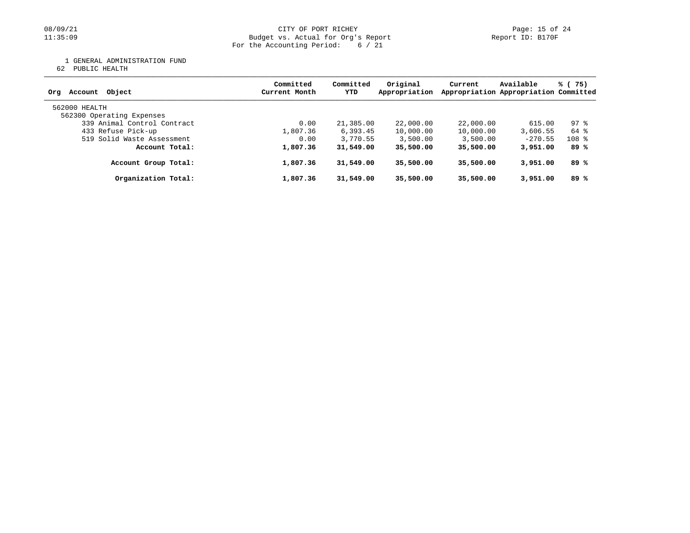#### 08/09/21 CITY OF PORT RICHEY Page: 15 of 24 11:35:09 Budget vs. Actual for Org's Report Report ID: B170F For the Accounting Period: 6 / 21

1 GENERAL ADMINISTRATION FUND

62 PUBLIC HEALTH

| Object<br>Account<br>Ora                   | Committed<br>Current Month | Committed<br>YTD | Original<br>Appropriation | Current   | Available<br>Appropriation Appropriation Committed | % (75)  |
|--------------------------------------------|----------------------------|------------------|---------------------------|-----------|----------------------------------------------------|---------|
| 562000 HEALTH<br>562300 Operating Expenses |                            |                  |                           |           |                                                    |         |
| 339 Animal Control Contract                | 0.00                       | 21,385.00        | 22,000.00                 | 22,000.00 | 615.00                                             | 97 %    |
| 433 Refuse Pick-up                         | 1,807.36                   | 6, 393.45        | 10,000.00                 | 10,000.00 | 3,606.55                                           | 64 %    |
| 519 Solid Waste Assessment                 | 0.00                       | 3,770.55         | 3,500.00                  | 3,500.00  | $-270.55$                                          | $108$ % |
| Account Total:                             | 1,807.36                   | 31,549.00        | 35,500.00                 | 35,500.00 | 3,951.00                                           | 89 %    |
| Account Group Total:                       | 1,807.36                   | 31,549.00        | 35,500.00                 | 35,500.00 | 3,951.00                                           | 89 %    |
| Organization Total:                        | 1,807.36                   | 31,549.00        | 35,500.00                 | 35,500.00 | 3,951.00                                           | 89%     |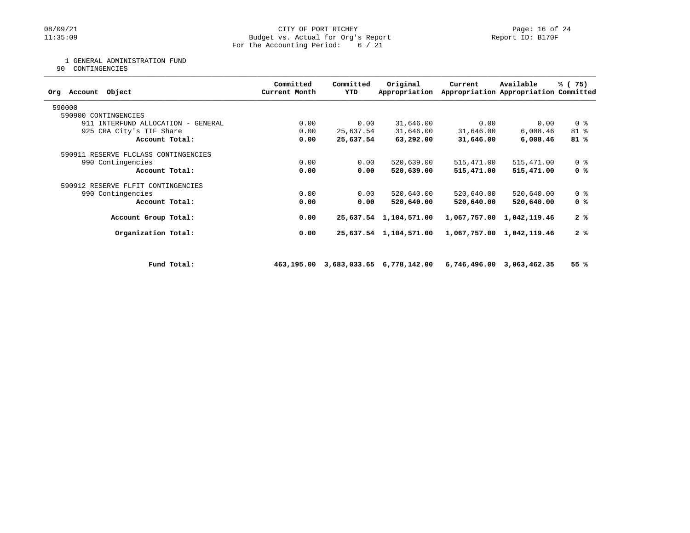## 08/09/21 CITY OF PORT RICHEY Page: 16 of 24<br>
Budget vs. Actual for Org's Report Port Peport ID: B170F Budget vs. Actual for Org's Report For the Accounting Period: 6 / 21

1 GENERAL ADMINISTRATION FUND

90 CONTINGENCIES

| Object<br>Org Account                | Committed<br>Current Month | Committed<br>YTD | Original<br>Appropriation | Current    | Available<br>Appropriation Appropriation Committed | % (75)         |
|--------------------------------------|----------------------------|------------------|---------------------------|------------|----------------------------------------------------|----------------|
| 590000                               |                            |                  |                           |            |                                                    |                |
| 590900 CONTINGENCIES                 |                            |                  |                           |            |                                                    |                |
| 911 INTERFUND ALLOCATION - GENERAL   | 0.00                       | 0.00             | 31,646.00                 | 0.00       | 0.00                                               | 0 <sup>8</sup> |
| 925 CRA City's TIF Share             | 0.00                       | 25,637.54        | 31,646.00                 | 31,646.00  | 6,008.46                                           | 81 %           |
| Account Total:                       | 0.00                       | 25,637.54        | 63,292.00                 | 31,646.00  | 6,008.46                                           | 81%            |
| 590911 RESERVE FLCLASS CONTINGENCIES |                            |                  |                           |            |                                                    |                |
| 990 Contingencies                    | 0.00                       | 0.00             | 520,639.00                | 515,471.00 | 515,471.00                                         | 0 <sub>8</sub> |
| Account Total:                       | 0.00                       | 0.00             | 520,639.00                | 515,471.00 | 515,471.00                                         | 0 %            |
| 590912 RESERVE FLFIT CONTINGENCIES   |                            |                  |                           |            |                                                    |                |
| 990 Contingencies                    | 0.00                       | 0.00             | 520,640.00                | 520,640.00 | 520,640.00                                         | 0 <sup>8</sup> |
| Account Total:                       | 0.00                       | 0.00             | 520,640.00                | 520,640.00 | 520,640.00                                         | 0 %            |
| Account Group Total:                 | 0.00                       |                  | 25,637.54 1,104,571.00    |            | 1,067,757.00 1,042,119.46                          | 2%             |
| Organization Total:                  | 0.00                       |                  | 25,637.54 1,104,571.00    |            | 1,067,757.00 1,042,119.46                          | 2%             |
|                                      |                            |                  |                           |            |                                                    |                |
| Fund Total:                          | 463,195.00                 |                  | 3,683,033.65 6,778,142.00 |            | 6,746,496.00 3,063,462.35                          | 55 %           |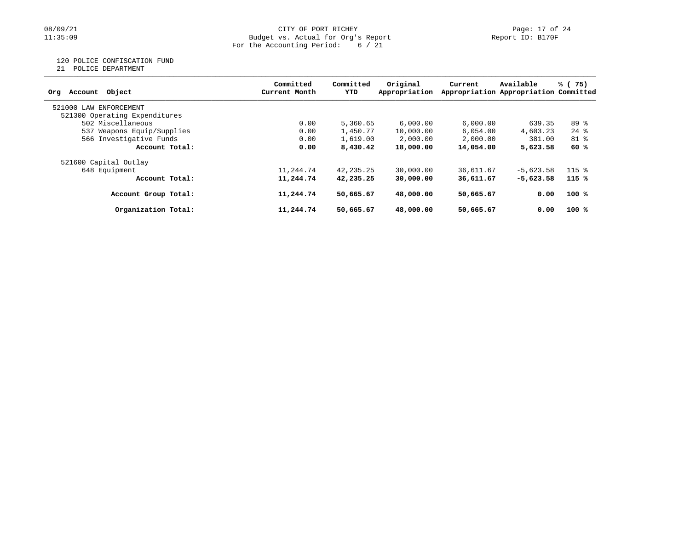#### 08/09/21 CITY OF PORT RICHEY Page: 17 of 24 11:35:09 Budget vs. Actual for Org's Report Report ID: B170F For the Accounting Period: 6 / 21

120 POLICE CONFISCATION FUND

21 POLICE DEPARTMENT

| Account Object<br>Orq         | Committed<br>Current Month | Committed<br>YTD | Original<br>Appropriation | Current   | Available<br>Appropriation Appropriation Committed | % (75)             |
|-------------------------------|----------------------------|------------------|---------------------------|-----------|----------------------------------------------------|--------------------|
| 521000 LAW<br>ENFORCEMENT     |                            |                  |                           |           |                                                    |                    |
| 521300 Operating Expenditures |                            |                  |                           |           |                                                    |                    |
| 502 Miscellaneous             | 0.00                       | 5,360.65         | 6,000,00                  | 6.000.00  | 639.35                                             | 89 %               |
| 537 Weapons Equip/Supplies    | 0.00                       | 1,450.77         | 10,000.00                 | 6.054.00  | 4,603.23                                           | $24$ $\frac{6}{6}$ |
| 566 Investigative Funds       | 0.00                       | 1,619.00         | 2,000.00                  | 2,000.00  | 381.00                                             | $81$ %             |
| Account Total:                | 0.00                       | 8,430.42         | 18,000.00                 | 14,054.00 | 5,623.58                                           | 60 %               |
| 521600 Capital Outlay         |                            |                  |                           |           |                                                    |                    |
| 648 Equipment                 | 11,244.74                  | 42,235.25        | 30,000.00                 | 36,611.67 | $-5.623.58$                                        | $115$ %            |
| Account Total:                | 11,244.74                  | 42,235.25        | 30,000.00                 | 36,611.67 | $-5,623.58$                                        | $115*$             |
| Account Group Total:          | 11,244.74                  | 50,665.67        | 48,000.00                 | 50,665.67 | 0.00                                               | 100%               |
| Organization Total:           | 11,244.74                  | 50,665.67        | 48,000,00                 | 50,665.67 | 0.00                                               | 100%               |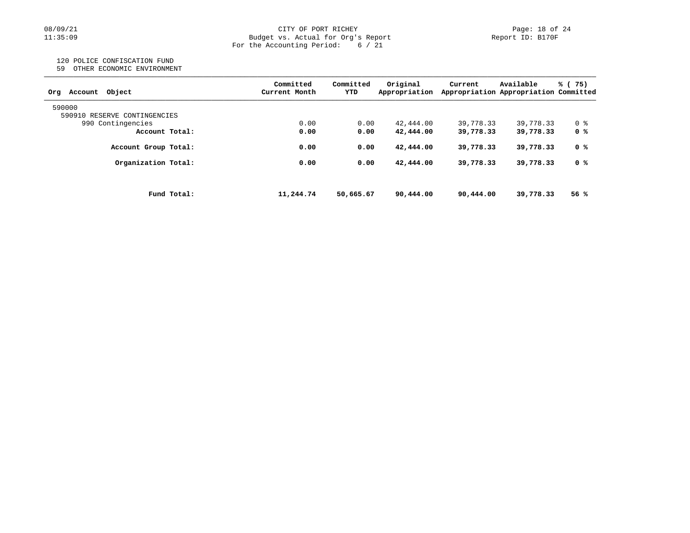#### 08/09/21 CITY OF PORT RICHEY Page: 18 of 24 11:35:09 Budget vs. Actual for Org's Report Report ID: B170F For the Accounting Period: 6 / 21

## 120 POLICE CONFISCATION FUND

59 OTHER ECONOMIC ENVIRONMENT

| Current Month | YTD       | Original<br>Appropriation | Current<br>Appropriation Appropriation Committed | Available | % (75)    |
|---------------|-----------|---------------------------|--------------------------------------------------|-----------|-----------|
|               |           |                           |                                                  |           |           |
|               |           |                           |                                                  |           |           |
| 0.00          | 0.00      | 42,444.00                 | 39,778.33                                        | 39,778.33 | 0 %       |
| 0.00          | 0.00      | 42,444.00                 | 39,778.33                                        | 39,778.33 | 0 %       |
| 0.00          | 0.00      | 42,444.00                 | 39,778.33                                        | 39,778.33 | 0 %       |
| 0.00          | 0.00      | 42,444.00                 | 39,778.33                                        | 39,778.33 | 0 %       |
|               |           |                           |                                                  |           | 56 %      |
|               | 11,244.74 | 50,665.67                 | 90,444.00                                        | 90,444.00 | 39,778.33 |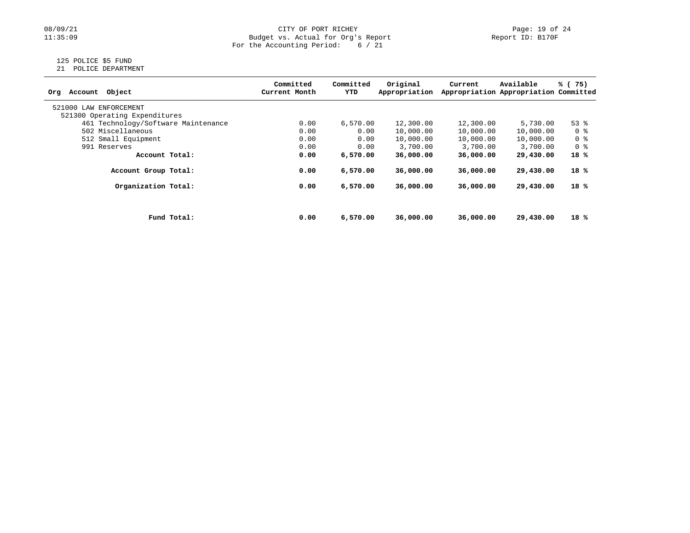## 08/09/21 CITY OF PORT RICHEY Page: 19 of 24<br>Budget vs. Actual for Org's Report Page: 19 of 24<br>Report ID: B170F Budget vs. Actual for Org's Report For the Accounting Period: 6 / 21

# 125 POLICE \$5 FUND

21 POLICE DEPARTMENT

| Object<br>Account<br>Org            |             | Committed<br>Current Month | Committed<br>YTD | Original<br>Appropriation | Current   | Available<br>Appropriation Appropriation Committed | % (75)         |
|-------------------------------------|-------------|----------------------------|------------------|---------------------------|-----------|----------------------------------------------------|----------------|
| 521000 LAW<br>ENFORCEMENT           |             |                            |                  |                           |           |                                                    |                |
| 521300 Operating Expenditures       |             |                            |                  |                           |           |                                                    |                |
| 461 Technology/Software Maintenance |             | 0.00                       | 6,570.00         | 12,300.00                 | 12,300.00 | 5,730.00                                           | $53$ $%$       |
| 502 Miscellaneous                   |             | 0.00                       | 0.00             | 10,000.00                 | 10,000.00 | 10,000.00                                          | 0 %            |
| 512 Small Equipment                 |             | 0.00                       | 0.00             | 10,000.00                 | 10,000.00 | 10,000.00                                          | 0 %            |
| 991 Reserves                        |             | 0.00                       | 0.00             | 3,700.00                  | 3,700.00  | 3,700.00                                           | 0 <sup>8</sup> |
| Account Total:                      |             | 0.00                       | 6,570.00         | 36,000.00                 | 36,000.00 | 29,430.00                                          | $18*$          |
| Account Group Total:                |             | 0.00                       | 6,570.00         | 36,000.00                 | 36,000.00 | 29,430.00                                          | 18 %           |
| Organization Total:                 |             | 0.00                       | 6,570.00         | 36,000,00                 | 36,000,00 | 29,430.00                                          | 18 %           |
|                                     |             |                            |                  |                           |           |                                                    |                |
|                                     | Fund Total: | 0.00                       | 6,570.00         | 36,000.00                 | 36,000.00 | 29,430.00                                          | 18 %           |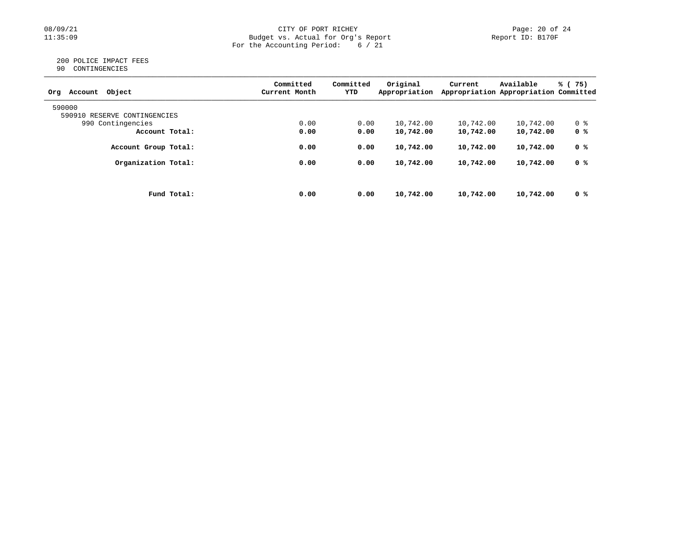## 08/09/21 CITY OF PORT RICHEY Page: 20 of 24<br>Budget vs. Actual for Org's Report Page: 20 Of 24<br>Report ID: B170F Budget vs. Actual for Org's Report For the Accounting Period: 6 / 21

#### 200 POLICE IMPACT FEES 90 CONTINGENCIES

| Object<br>Account<br>Org     | Committed<br>Current Month | Committed<br>YTD | Original<br>Appropriation | Current   | Available<br>Appropriation Appropriation Committed | % (75) |
|------------------------------|----------------------------|------------------|---------------------------|-----------|----------------------------------------------------|--------|
| 590000                       |                            |                  |                           |           |                                                    |        |
| 590910 RESERVE CONTINGENCIES |                            |                  |                           |           |                                                    |        |
| 990 Contingencies            | 0.00                       | 0.00             | 10,742.00                 | 10,742.00 | 10,742.00                                          | 0 %    |
| Account Total:               | 0.00                       | 0.00             | 10,742.00                 | 10,742.00 | 10,742.00                                          | 0 %    |
| Account Group Total:         | 0.00                       | 0.00             | 10,742.00                 | 10,742.00 | 10,742.00                                          | 0 %    |
| Organization Total:          | 0.00                       | 0.00             | 10,742.00                 | 10,742.00 | 10,742.00                                          | 0 %    |
|                              |                            |                  |                           |           |                                                    |        |
| Fund Total:                  | 0.00                       | 0.00             | 10,742.00                 | 10,742.00 | 10,742.00                                          | 0 %    |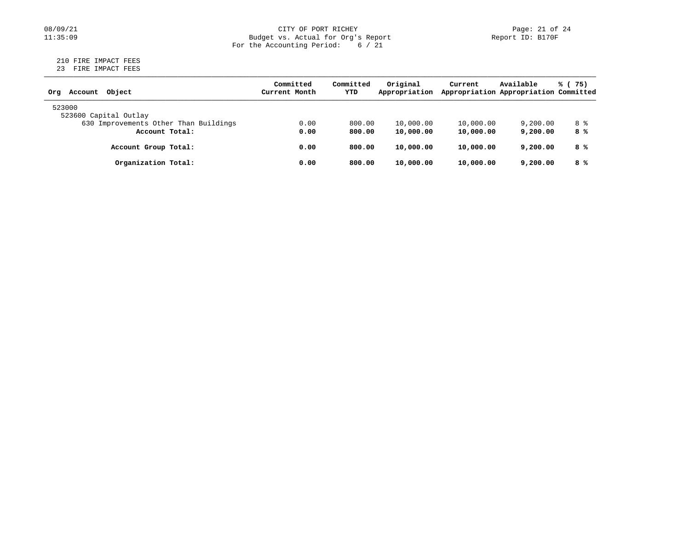## 08/09/21 CITY OF PORT RICHEY Page: 21 of 24<br>Budget vs. Actual for Org's Report Page: 21 of 24<br>Report ID: B170F Budget vs. Actual for Org's Report For the Accounting Period: 6 / 21

#### 210 FIRE IMPACT FEES 23 FIRE IMPACT FEES

| Object<br>Account<br>Orq              | Committed<br>Current Month | Committed<br>YTD | Original<br>Appropriation | Current   | Available<br>Appropriation Appropriation Committed | % (75) |
|---------------------------------------|----------------------------|------------------|---------------------------|-----------|----------------------------------------------------|--------|
| 523000                                |                            |                  |                           |           |                                                    |        |
| 523600 Capital Outlay                 |                            |                  |                           |           |                                                    |        |
| 630 Improvements Other Than Buildings | 0.00                       | 800.00           | 10,000.00                 | 10,000.00 | 9,200.00                                           | 8 දි   |
| Account Total:                        | 0.00                       | 800.00           | 10,000.00                 | 10,000.00 | 9,200,00                                           | 8 %    |
| Account Group Total:                  | 0.00                       | 800.00           | 10,000.00                 | 10,000.00 | 9,200,00                                           | 8 %    |
| Organization Total:                   | 0.00                       | 800.00           | 10,000.00                 | 10,000.00 | 9,200,00                                           | 8 %    |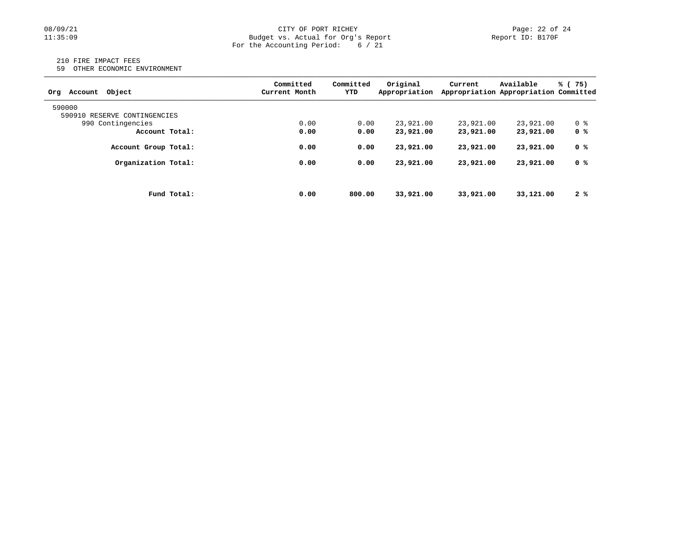## 08/09/21 CITY OF PORT RICHEY Page: 22 of 24<br>
Budget vs. Actual for Org's Report Page: 22 of 24<br>
Page: 22 of 24 Budget vs. Actual for Org's Report For the Accounting Period: 6 / 21

#### 210 FIRE IMPACT FEES

59 OTHER ECONOMIC ENVIRONMENT

| Obiect<br>Account<br>Orq     | Committed<br>Current Month | Committed<br>YTD | Original<br>Appropriation | Current   | Available<br>Appropriation Appropriation Committed | % (75) |
|------------------------------|----------------------------|------------------|---------------------------|-----------|----------------------------------------------------|--------|
| 590000                       |                            |                  |                           |           |                                                    |        |
| 590910 RESERVE CONTINGENCIES |                            |                  |                           |           |                                                    |        |
| 990 Contingencies            | 0.00                       | 0.00             | 23,921.00                 | 23,921.00 | 23,921.00                                          | 0 %    |
| Account Total:               | 0.00                       | 0.00             | 23,921.00                 | 23,921.00 | 23,921.00                                          | 0 %    |
| Account Group Total:         | 0.00                       | 0.00             | 23,921.00                 | 23,921.00 | 23,921.00                                          | 0 %    |
| Organization Total:          | 0.00                       | 0.00             | 23,921.00                 | 23,921.00 | 23,921.00                                          | 0 %    |
|                              |                            |                  |                           |           |                                                    |        |
| Fund Total:                  | 0.00                       | 800.00           | 33,921.00                 | 33,921,00 | 33,121.00                                          | 2%     |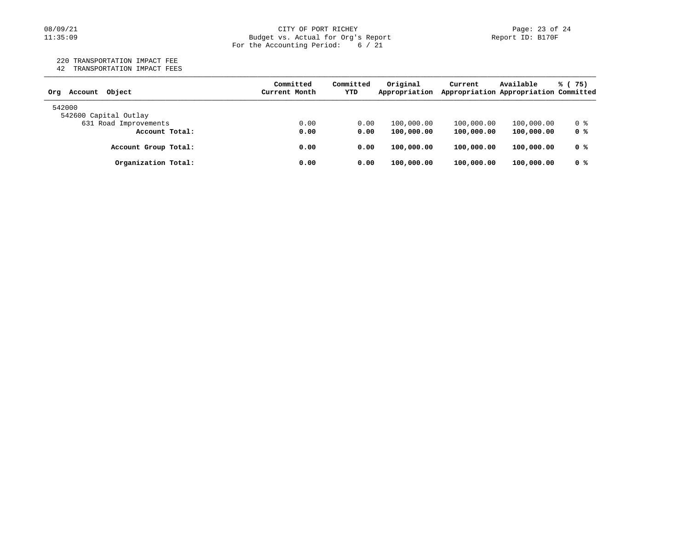#### 08/09/21 CITY OF PORT RICHEY Page: 23 of 24 11:35:09 Budget vs. Actual for Org's Report Report ID: B170F For the Accounting Period: 6 / 21

220 TRANSPORTATION IMPACT FEE

42 TRANSPORTATION IMPACT FEES

| Object<br>Account<br>Orq | Committed<br>Current Month | Committed<br>YTD | Original<br>Appropriation | Current    | Available<br>Appropriation Appropriation Committed | % (75) |
|--------------------------|----------------------------|------------------|---------------------------|------------|----------------------------------------------------|--------|
| 542000                   |                            |                  |                           |            |                                                    |        |
| 542600 Capital Outlay    |                            |                  |                           |            |                                                    |        |
| 631 Road Improvements    | 0.00                       | 0.00             | 100,000.00                | 100,000.00 | 100,000.00                                         | 0 %    |
| Account Total:           | 0.00                       | 0.00             | 100,000.00                | 100,000.00 | 100,000.00                                         | 0 %    |
| Account Group Total:     | 0.00                       | 0.00             | 100,000.00                | 100,000.00 | 100,000.00                                         | 0 %    |
| Organization Total:      | 0.00                       | 0.00             | 100,000.00                | 100,000.00 | 100,000.00                                         | 0 %    |